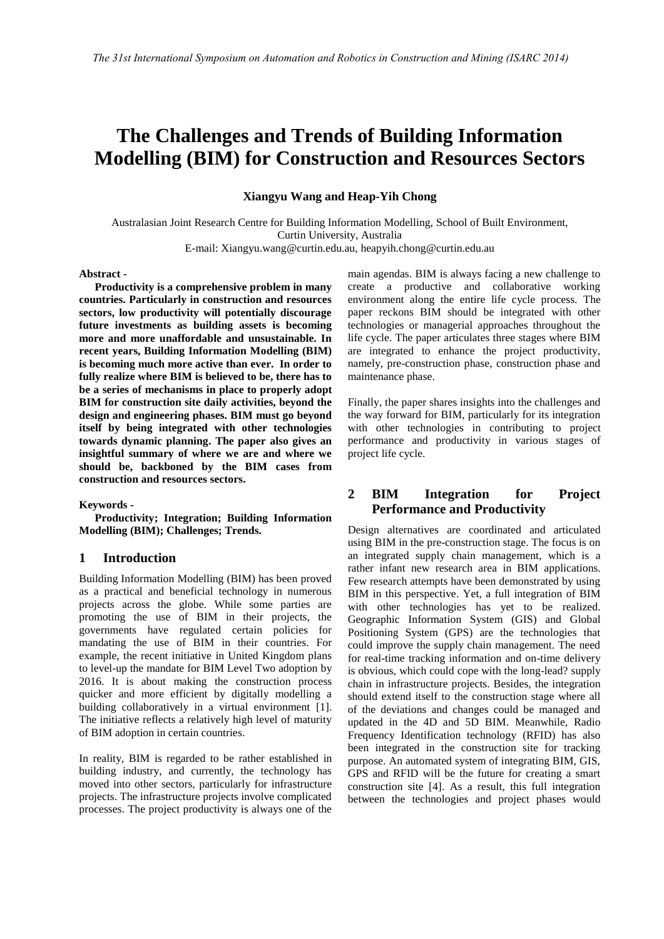# **The Challenges and Trends of Building Information Modelling (BIM) for Construction and Resources Sectors**

**Xiangyu Wang and Heap-Yih Chong**

Australasian Joint Research Centre for Building Information Modelling, School of Built Environment, Curtin University, Australia E-mail: Xiangyu.wang@curtin.edu.au, heapyih.chong@curtin.edu.au

#### **Abstract -**

**Productivity is a comprehensive problem in many countries. Particularly in construction and resources sectors, low productivity will potentially discourage future investments as building assets is becoming more and more unaffordable and unsustainable. In recent years, Building Information Modelling (BIM) is becoming much more active than ever. In order to fully realize where BIM is believed to be, there has to be a series of mechanisms in place to properly adopt BIM for construction site daily activities, beyond the design and engineering phases. BIM must go beyond itself by being integrated with other technologies towards dynamic planning. The paper also gives an insightful summary of where we are and where we should be, backboned by the BIM cases from construction and resources sectors.** 

#### **Keywords -**

**Productivity; Integration; Building Information Modelling (BIM); Challenges; Trends.** 

## **1 Introduction**

Building Information Modelling (BIM) has been proved as a practical and beneficial technology in numerous projects across the globe. While some parties are promoting the use of BIM in their projects, the governments have regulated certain policies for mandating the use of BIM in their countries. For example, the recent initiative in United Kingdom plans to level-up the mandate for BIM Level Two adoption by 2016. It is about making the construction process quicker and more efficient by digitally modelling a building collaboratively in a virtual environment [1]. The initiative reflects a relatively high level of maturity of BIM adoption in certain countries.

In reality, BIM is regarded to be rather established in building industry, and currently, the technology has moved into other sectors, particularly for infrastructure projects. The infrastructure projects involve complicated processes. The project productivity is always one of the

main agendas. BIM is always facing a new challenge to create a productive and collaborative working environment along the entire life cycle process. The paper reckons BIM should be integrated with other technologies or managerial approaches throughout the life cycle. The paper articulates three stages where BIM are integrated to enhance the project productivity, namely, pre-construction phase, construction phase and maintenance phase.

Finally, the paper shares insights into the challenges and the way forward for BIM, particularly for its integration with other technologies in contributing to project performance and productivity in various stages of project life cycle.

## **2 BIM Integration for Project Performance and Productivity**

Design alternatives are coordinated and articulated using BIM in the pre-construction stage. The focus is on an integrated supply chain management, which is a rather infant new research area in BIM applications. Few research attempts have been demonstrated by using BIM in this perspective. Yet, a full integration of BIM with other technologies has yet to be realized. Geographic Information System (GIS) and Global Positioning System (GPS) are the technologies that could improve the supply chain management. The need for real-time tracking information and on-time delivery is obvious, which could cope with the long-lead? supply chain in infrastructure projects. Besides, the integration should extend itself to the construction stage where all of the deviations and changes could be managed and updated in the 4D and 5D BIM. Meanwhile, Radio Frequency Identification technology (RFID) has also been integrated in the construction site for tracking purpose. An automated system of integrating BIM, GIS, GPS and RFID will be the future for creating a smart construction site [4]. As a result, this full integration between the technologies and project phases would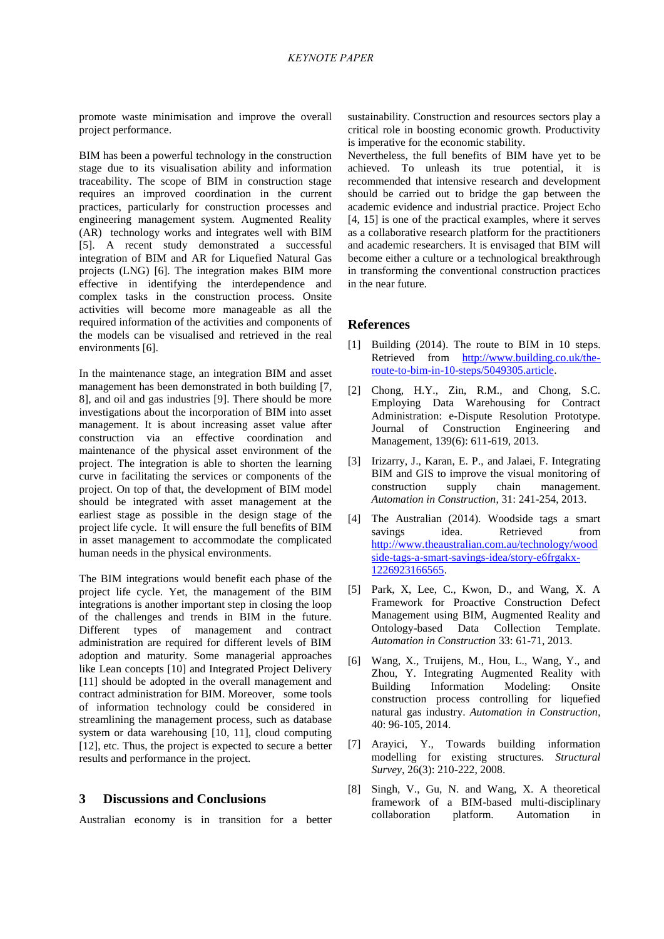promote waste minimisation and improve the overall project performance.

BIM has been a powerful technology in the construction stage due to its visualisation ability and information traceability. The scope of BIM in construction stage requires an improved coordination in the current practices, particularly for construction processes and engineering management system. Augmented Reality (AR) technology works and integrates well with BIM [5]. A recent study demonstrated a successful integration of BIM and AR for Liquefied Natural Gas projects (LNG) [6]. The integration makes BIM more effective in identifying the interdependence and complex tasks in the construction process. Onsite activities will become more manageable as all the required information of the activities and components of the models can be visualised and retrieved in the real environments [6].

In the maintenance stage, an integration BIM and asset management has been demonstrated in both building [7, 8], and oil and gas industries [9]. There should be more investigations about the incorporation of BIM into asset management. It is about increasing asset value after construction via an effective coordination and maintenance of the physical asset environment of the project. The integration is able to shorten the learning curve in facilitating the services or components of the project. On top of that, the development of BIM model should be integrated with asset management at the earliest stage as possible in the design stage of the project life cycle. It will ensure the full benefits of BIM in asset management to accommodate the complicated human needs in the physical environments.

The BIM integrations would benefit each phase of the project life cycle. Yet, the management of the BIM integrations is another important step in closing the loop of the challenges and trends in BIM in the future. Different types of management and contract administration are required for different levels of BIM adoption and maturity. Some managerial approaches like Lean concepts [10] and Integrated Project Delivery [11] should be adopted in the overall management and contract administration for BIM. Moreover, some tools of information technology could be considered in streamlining the management process, such as database system or data warehousing [10, 11], cloud computing [12], etc. Thus, the project is expected to secure a better results and performance in the project.

## **3 Discussions and Conclusions**

Australian economy is in transition for a better

sustainability. Construction and resources sectors play a critical role in boosting economic growth. Productivity is imperative for the economic stability.

Nevertheless, the full benefits of BIM have yet to be achieved. To unleash its true potential, it is recommended that intensive research and development should be carried out to bridge the gap between the academic evidence and industrial practice. Project Echo [4, 15] is one of the practical examples, where it serves as a collaborative research platform for the practitioners and academic researchers. It is envisaged that BIM will become either a culture or a technological breakthrough in transforming the conventional construction practices in the near future.

#### **References**

- [1] Building (2014). The route to BIM in 10 steps. Retrieved from [http://www.building.co.uk/the](http://www.building.co.uk/the-route-to-bim-in-10-steps/5049305.article)[route-to-bim-in-10-steps/5049305.article.](http://www.building.co.uk/the-route-to-bim-in-10-steps/5049305.article)
- [2] Chong, H.Y., Zin, R.M., and Chong, S.C. Employing Data Warehousing for Contract Administration: e-Dispute Resolution Prototype. Journal of Construction Engineering and Management, 139(6): 611-619, 2013.
- [3] Irizarry, J., Karan, E. P., and Jalaei, F. Integrating BIM and GIS to improve the visual monitoring of construction supply chain management. *Automation in Construction*, 31: 241-254, 2013.
- [4] The Australian (2014). Woodside tags a smart savings idea. Retrieved from [http://www.theaustralian.com.au/technology/wood](http://www.theaustralian.com.au/technology/woodside-tags-a-smart-savings-idea/story-e6frgakx-1226923166565) [side-tags-a-smart-savings-idea/story-e6frgakx-](http://www.theaustralian.com.au/technology/woodside-tags-a-smart-savings-idea/story-e6frgakx-1226923166565)[1226923166565.](http://www.theaustralian.com.au/technology/woodside-tags-a-smart-savings-idea/story-e6frgakx-1226923166565)
- [5] Park, X, Lee, C., Kwon, D., and Wang, X. A Framework for Proactive Construction Defect Management using BIM, Augmented Reality and Ontology-based Data Collection Template. *Automation in Construction* 33: 61-71, 2013.
- [6] Wang, X., Truijens, M., Hou, L., Wang, Y., and Zhou, Y. Integrating Augmented Reality with Building Information Modeling: Onsite construction process controlling for liquefied natural gas industry. *Automation in Construction*, 40: 96-105, 2014.
- [7] Arayici, Y., Towards building information modelling for existing structures. *Structural Survey,* 26(3): 210-222, 2008.
- [8] Singh, V., Gu, N. and Wang, X. A theoretical framework of a BIM-based multi-disciplinary collaboration platform. Automation in